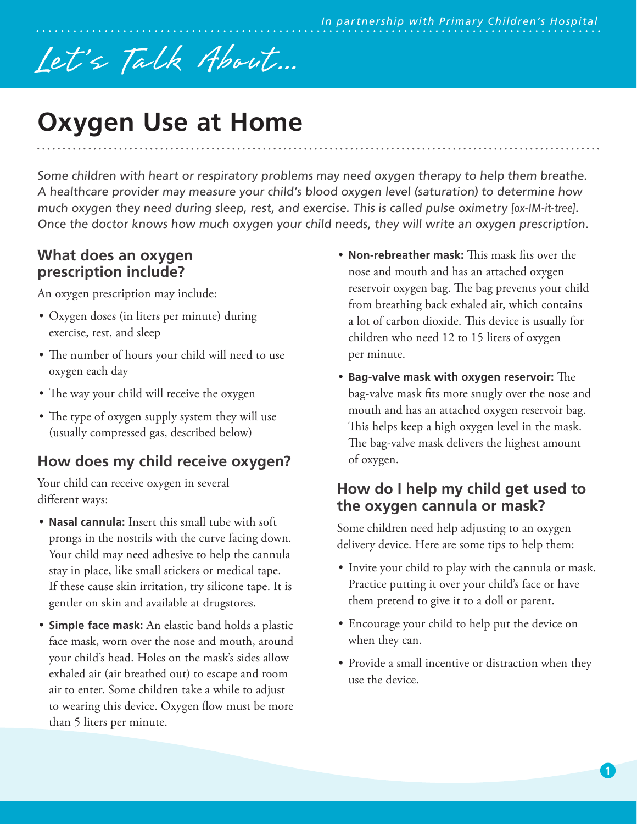# Let's Talk About...

# **Oxygen Use at Home**

Some children with heart or respiratory problems may need oxygen therapy to help them breathe. A healthcare provider may measure your child's blood oxygen level (saturation) to determine how much oxygen they need during sleep, rest, and exercise. This is called pulse oximetry [ox-IM-it-tree]. Once the doctor knows how much oxygen your child needs, they will write an oxygen prescription.

#### **What does an oxygen prescription include?**

An oxygen prescription may include:

- Oxygen doses (in liters per minute) during exercise, rest, and sleep
- The number of hours your child will need to use oxygen each day
- The way your child will receive the oxygen
- The type of oxygen supply system they will use (usually compressed gas, described below)

# **How does my child receive oxygen?**

Your child can receive oxygen in several different ways:

- **Nasal cannula:** Insert this small tube with soft prongs in the nostrils with the curve facing down. Your child may need adhesive to help the cannula stay in place, like small stickers or medical tape. If these cause skin irritation, try silicone tape. It is gentler on skin and available at drugstores.
- **Simple face mask:** An elastic band holds a plastic face mask, worn over the nose and mouth, around your child's head. Holes on the mask's sides allow exhaled air (air breathed out) to escape and room air to enter. Some children take a while to adjust to wearing this device. Oxygen flow must be more than 5 liters per minute.
- **Non-rebreather mask:** This mask fits over the nose and mouth and has an attached oxygen reservoir oxygen bag. The bag prevents your child from breathing back exhaled air, which contains a lot of carbon dioxide. This device is usually for children who need 12 to 15 liters of oxygen per minute.
- **Bag-valve mask with oxygen reservoir:** The bag-valve mask fits more snugly over the nose and mouth and has an attached oxygen reservoir bag. This helps keep a high oxygen level in the mask. The bag-valve mask delivers the highest amount of oxygen.

## **How do I help my child get used to the oxygen cannula or mask?**

Some children need help adjusting to an oxygen delivery device. Here are some tips to help them:

- Invite your child to play with the cannula or mask. Practice putting it over your child's face or have them pretend to give it to a doll or parent.
- Encourage your child to help put the device on when they can.
- Provide a small incentive or distraction when they use the device.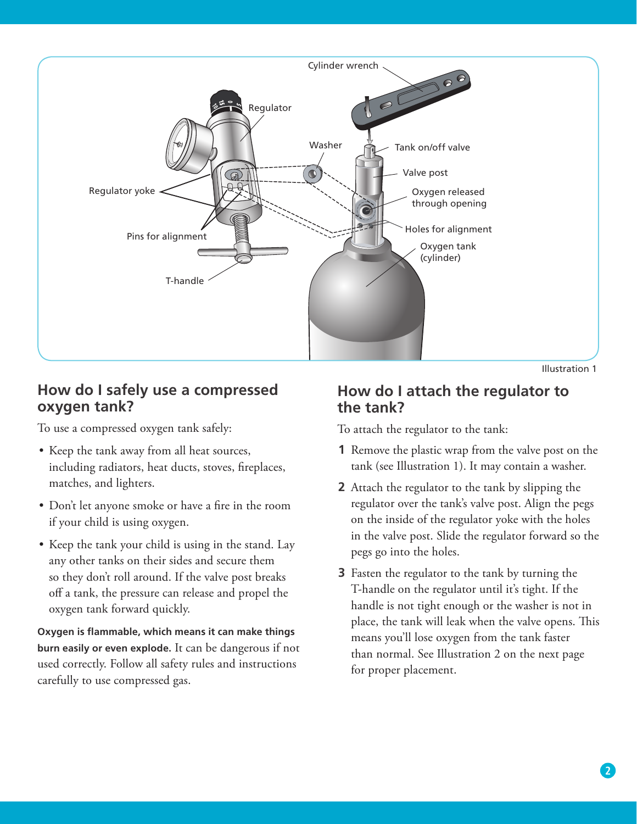

Illustration 1

# **How do I safely use a compressed oxygen tank?**

To use a compressed oxygen tank safely:

- Keep the tank away from all heat sources, including radiators, heat ducts, stoves, fireplaces, matches, and lighters.
- Don't let anyone smoke or have a fire in the room if your child is using oxygen.
- Keep the tank your child is using in the stand. Lay any other tanks on their sides and secure them so they don't roll around. If the valve post breaks off a tank, the pressure can release and propel the oxygen tank forward quickly.

**Oxygen is flammable, which means it can make things burn easily or even explode.** It can be dangerous if not used correctly. Follow all safety rules and instructions carefully to use compressed gas.

# **How do I attach the regulator to the tank?**

To attach the regulator to the tank:

- **1** Remove the plastic wrap from the valve post on the tank (see Illustration 1). It may contain a washer.
- **2** Attach the regulator to the tank by slipping the regulator over the tank's valve post. Align the pegs on the inside of the regulator yoke with the holes in the valve post. Slide the regulator forward so the pegs go into the holes.
- **3** Fasten the regulator to the tank by turning the T-handle on the regulator until it's tight. If the handle is not tight enough or the washer is not in place, the tank will leak when the valve opens. This means you'll lose oxygen from the tank faster than normal. See Illustration 2 on the next page for proper placement.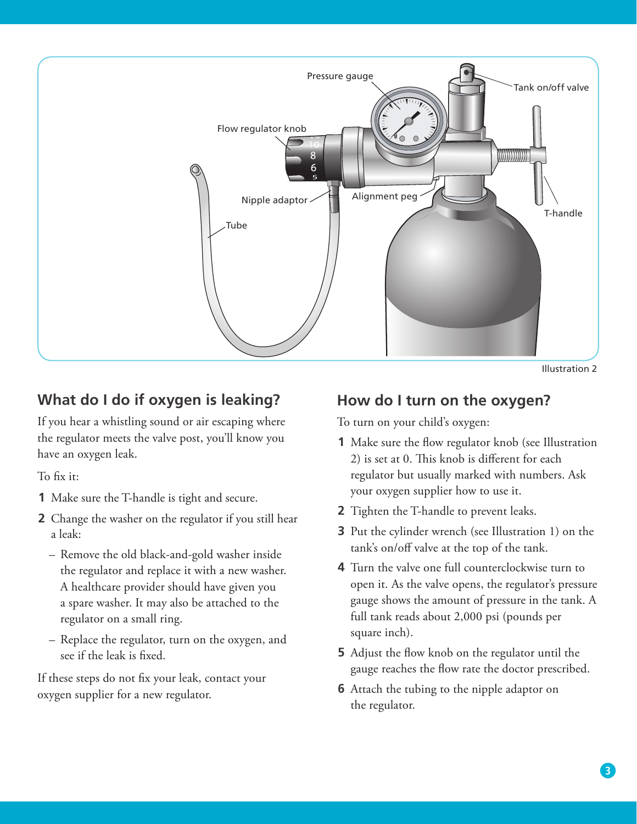

Illustration 2

# **What do I do if oxygen is leaking?**

If you hear a whistling sound or air escaping where the regulator meets the valve post, you'll know you have an oxygen leak.

To fix it:

- **1** Make sure the T-handle is tight and secure.
- **2** Change the washer on the regulator if you still hear a leak:
	- Remove the old black-and-gold washer inside the regulator and replace it with a new washer. A healthcare provider should have given you a spare washer. It may also be attached to the regulator on a small ring.
	- Replace the regulator, turn on the oxygen, and see if the leak is fixed.

If these steps do not fix your leak, contact your oxygen supplier for a new regulator.

#### **How do I turn on the oxygen?**

To turn on your child's oxygen:

- **1** Make sure the flow regulator knob (see Illustration 2) is set at 0. This knob is different for each regulator but usually marked with numbers. Ask your oxygen supplier how to use it.
- **2** Tighten the T-handle to prevent leaks.
- **3** Put the cylinder wrench (see Illustration 1) on the tank's on/off valve at the top of the tank.
- **4** Turn the valve one full counterclockwise turn to open it. As the valve opens, the regulator's pressure gauge shows the amount of pressure in the tank. A full tank reads about 2,000 psi (pounds per square inch).
- **5** Adjust the flow knob on the regulator until the gauge reaches the flow rate the doctor prescribed.
- **6** Attach the tubing to the nipple adaptor on the regulator.